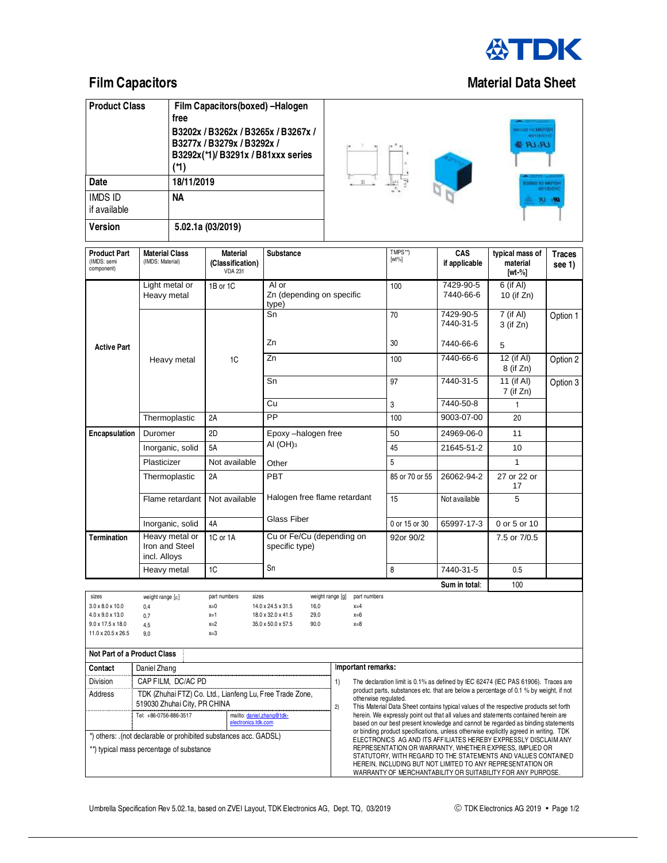

| <b>Product Class</b>           | Film Capacitors (boxed) - Halogen<br>free                                                                    |  |  |  |  |
|--------------------------------|--------------------------------------------------------------------------------------------------------------|--|--|--|--|
|                                | B3202x / B3262x / B3265x / B3267x /<br>B3277x / B3279x / B3292x /<br>B3292x(*1)/B3291x/B81xxx series<br>(*1) |  |  |  |  |
| Date                           | 18/11/2019                                                                                                   |  |  |  |  |
| <b>IMDS ID</b><br>if available | NА                                                                                                           |  |  |  |  |
| <b>Version</b>                 | 5.02.1a (03/2019)                                                                                            |  |  |  |  |



| <b>Product Part</b><br>(IMDS: semi<br>component)                                                                                                                                                                                                                                                                                                                                       | <b>Material Class</b><br>(IMDS: Material)                                                                                                                                                    | <b>Material</b><br>(Classification)<br><b>VDA 231</b> | <b>Substance</b>                            |                                                                                                                                                                                                                                                                                                                                                                                                                                                                                   |                | TMPS**)<br>$[wt\%]$    | <b>CAS</b><br>if applicable | typical mass of<br>material<br>$[wt-%]$ | <b>Traces</b><br>see 1) |
|----------------------------------------------------------------------------------------------------------------------------------------------------------------------------------------------------------------------------------------------------------------------------------------------------------------------------------------------------------------------------------------|----------------------------------------------------------------------------------------------------------------------------------------------------------------------------------------------|-------------------------------------------------------|---------------------------------------------|-----------------------------------------------------------------------------------------------------------------------------------------------------------------------------------------------------------------------------------------------------------------------------------------------------------------------------------------------------------------------------------------------------------------------------------------------------------------------------------|----------------|------------------------|-----------------------------|-----------------------------------------|-------------------------|
|                                                                                                                                                                                                                                                                                                                                                                                        | Light metal or<br>Heavy metal                                                                                                                                                                | 1B or 1C                                              | Al or<br>Zn (depending on specific<br>type) |                                                                                                                                                                                                                                                                                                                                                                                                                                                                                   |                | 100                    | 7429-90-5<br>7440-66-6      | 6 (if Al)<br>10 (if Zn)                 |                         |
|                                                                                                                                                                                                                                                                                                                                                                                        |                                                                                                                                                                                              | 1C                                                    | Sn                                          |                                                                                                                                                                                                                                                                                                                                                                                                                                                                                   | 70             | 7429-90-5<br>7440-31-5 | 7 (if Al)<br>3 (if Zn)      | Option 1                                |                         |
| <b>Active Part</b>                                                                                                                                                                                                                                                                                                                                                                     |                                                                                                                                                                                              |                                                       | Zn                                          |                                                                                                                                                                                                                                                                                                                                                                                                                                                                                   |                | 30                     | 7440-66-6                   | 5                                       |                         |
|                                                                                                                                                                                                                                                                                                                                                                                        | Heavy metal                                                                                                                                                                                  |                                                       | Zn                                          |                                                                                                                                                                                                                                                                                                                                                                                                                                                                                   |                | 100                    | 7440-66-6                   | 12 (if AI)<br>8 (if Zn)                 | Option 2                |
|                                                                                                                                                                                                                                                                                                                                                                                        |                                                                                                                                                                                              |                                                       | Sn                                          |                                                                                                                                                                                                                                                                                                                                                                                                                                                                                   |                | 97                     | 7440-31-5                   | 11 (if Al)<br>7 (if Zn)                 | Option 3                |
|                                                                                                                                                                                                                                                                                                                                                                                        |                                                                                                                                                                                              |                                                       | Cu                                          |                                                                                                                                                                                                                                                                                                                                                                                                                                                                                   |                | 3                      | 7440-50-8                   | 1                                       |                         |
|                                                                                                                                                                                                                                                                                                                                                                                        | Thermoplastic                                                                                                                                                                                | 2A                                                    | PP                                          |                                                                                                                                                                                                                                                                                                                                                                                                                                                                                   |                | 100                    | 9003-07-00                  | 20                                      |                         |
| Encapsulation                                                                                                                                                                                                                                                                                                                                                                          | Duromer                                                                                                                                                                                      | 2D                                                    | Epoxy-halogen free                          |                                                                                                                                                                                                                                                                                                                                                                                                                                                                                   |                | 50                     | 24969-06-0                  | 11                                      |                         |
|                                                                                                                                                                                                                                                                                                                                                                                        | Inorganic, solid                                                                                                                                                                             | 5A                                                    | AI $(OH)_{3}$<br>Other                      |                                                                                                                                                                                                                                                                                                                                                                                                                                                                                   |                | 45                     | 21645-51-2                  | 10                                      |                         |
|                                                                                                                                                                                                                                                                                                                                                                                        | Plasticizer                                                                                                                                                                                  | Not available                                         |                                             |                                                                                                                                                                                                                                                                                                                                                                                                                                                                                   |                | 5                      |                             | $\mathbf{1}$                            |                         |
|                                                                                                                                                                                                                                                                                                                                                                                        | Thermoplastic                                                                                                                                                                                | 2A                                                    | <b>PBT</b><br>Halogen free flame retardant  |                                                                                                                                                                                                                                                                                                                                                                                                                                                                                   | 85 or 70 or 55 | 26062-94-2             | 27 or 22 or<br>17           |                                         |                         |
|                                                                                                                                                                                                                                                                                                                                                                                        | Flame retardant                                                                                                                                                                              | Not available                                         |                                             |                                                                                                                                                                                                                                                                                                                                                                                                                                                                                   | 15             | Not available          | 5                           |                                         |                         |
|                                                                                                                                                                                                                                                                                                                                                                                        | Inorganic, solid                                                                                                                                                                             | 4A                                                    | <b>Glass Fiber</b>                          |                                                                                                                                                                                                                                                                                                                                                                                                                                                                                   |                | 0 or 15 or 30          | 65997-17-3                  | 0 or 5 or 10                            |                         |
| <b>Termination</b>                                                                                                                                                                                                                                                                                                                                                                     | Heavy metal or<br>Iron and Steel<br>incl. Alloys                                                                                                                                             | 1C or 1A                                              | Cu or Fe/Cu (depending on<br>specific type) |                                                                                                                                                                                                                                                                                                                                                                                                                                                                                   | 92or 90/2      |                        | 7.5 or 7/0.5                |                                         |                         |
|                                                                                                                                                                                                                                                                                                                                                                                        | Heavy metal<br>1C                                                                                                                                                                            |                                                       | Sn                                          |                                                                                                                                                                                                                                                                                                                                                                                                                                                                                   |                | 8                      | 7440-31-5                   | 0.5                                     |                         |
|                                                                                                                                                                                                                                                                                                                                                                                        |                                                                                                                                                                                              |                                                       |                                             |                                                                                                                                                                                                                                                                                                                                                                                                                                                                                   |                |                        | Sum in total:               | 100                                     |                         |
| sizes<br>part numbers<br>weight range [g]<br>part numbers<br>weight range [g]<br>sizes<br>$3.0 \times 8.0 \times 10.0$<br>14.0 x 24.5 x 31.5<br>16,0<br>$x=0$<br>$x=4$<br>0,4<br>4.0 x 9.0 x 13.0<br>$x=1$<br>18.0 x 32.0 x 41.5<br>29,0<br>$x=6$<br>0,7<br>$9.0 \times 17.5 \times 18.0$<br>$x=2$<br>35.0 x 50.0 x 57.5<br>90.0<br>$x=8$<br>4,5<br>11.0 x 20.5 x 26.5<br>$x=3$<br>9.0 |                                                                                                                                                                                              |                                                       |                                             |                                                                                                                                                                                                                                                                                                                                                                                                                                                                                   |                |                        |                             |                                         |                         |
| <b>Not Part of a Product Class</b>                                                                                                                                                                                                                                                                                                                                                     |                                                                                                                                                                                              |                                                       |                                             |                                                                                                                                                                                                                                                                                                                                                                                                                                                                                   |                |                        |                             |                                         |                         |
| Contact                                                                                                                                                                                                                                                                                                                                                                                | Daniel Zhang                                                                                                                                                                                 |                                                       |                                             | Important remarks:                                                                                                                                                                                                                                                                                                                                                                                                                                                                |                |                        |                             |                                         |                         |
| Division<br>Address                                                                                                                                                                                                                                                                                                                                                                    | CAP FILM, DC/AC PD<br>TDK (Zhuhai FTZ) Co. Ltd., Lianfeng Lu, Free Trade Zone,<br>519030 Zhuhai City, PR CHINA<br>Tel: +86-0756-886-3517<br>mailto: daniel.zhang@tdk-<br>electronics.tdk.com |                                                       |                                             | 1)<br>The declaration limit is 0.1% as defined by IEC 62474 (IEC PAS 61906). Traces are<br>product parts, substances etc. that are below a percentage of 0.1 % by weight, if not<br>otherwise regulated.<br>2)<br>This Material Data Sheet contains typical values of the respective products set forth<br>herein. We expressly point out that all values and statements contained herein are<br>based on our best present knowledge and cannot be regarded as binding statements |                |                        |                             |                                         |                         |
| *) others: .(not declarable or prohibited substances acc. GADSL)<br>**) typical mass percentage of substance                                                                                                                                                                                                                                                                           |                                                                                                                                                                                              |                                                       |                                             | or binding product specifications, unless otherwise explicitly agreed in writing. TDK<br>ELECTRONICS AG AND ITS AFFILIATES HEREBY EXPRESSLY DISCLAIM ANY<br>REPRESENTATION OR WARRANTY, WHETHER EXPRESS, IMPLIED OR<br>STATUTORY, WITH REGARD TO THE STATEMENTS AND VALUES CONTAINED<br>HEREIN, INCLUDING BUT NOT LIMITED TO ANY REPRESENTATION OR<br>WARRANTY OF MERCHANTABILITY OR SUITABILITY FOR ANY PURPOSE.                                                                 |                |                        |                             |                                         |                         |

## **Film Capacitors Contract Contract Contract Contract Contract Contract Contract Contract Contract Contract Contract Contract Contract Contract Contract Contract Contract Contract Contract Contract Contract Contract Contrac**